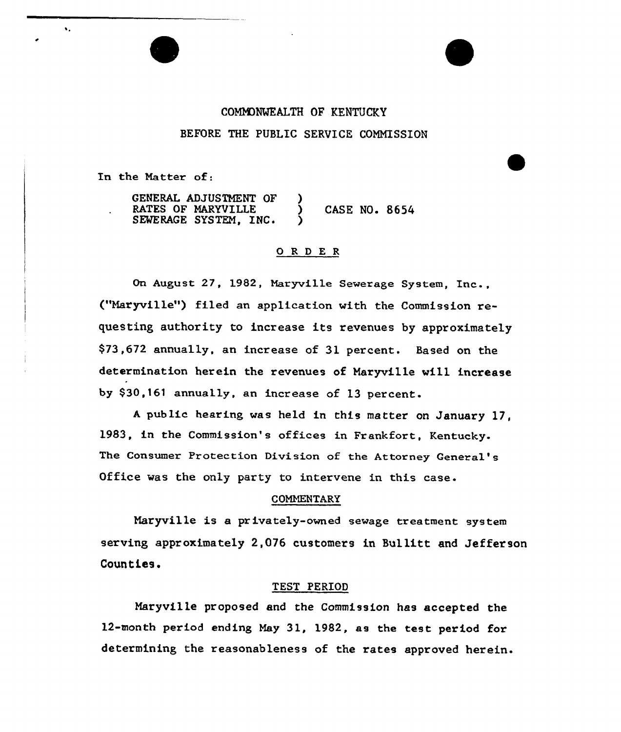# COMMONWEALTH OF KENTUCKY BEFORE THE PUBLIC SERVICE COMNISSION

In the Natter of:

 $\ddot{\bullet}$ 

GENERAL ADJUSTMENT OF RATES OF MARYVILLE  $\qquad$  ) CASE NO. 8654 SEWERAGE SYSTEM, INC.

#### ORDER

On August 27, 1982, Maryville Sewerage System, Inc., ("Haryville") filed an application with the Commission requesting authority to increase its revenues by approximately \$73,672 annually, an increase of 31 percent. Based on the determination herein the revenues of Naryville will increase by \$30,161 annually, an increase of 13 percent.

<sup>A</sup> public hearing was held in this matter on January 17, l983, in the Commission's offices in Frankfort, Kentucky-The Consumer Protection Division of the Attorney General' Office was the only party to intervene in this case.

#### COMMENTARY

Maryville is a privately-owned sewage treatment system serving approximately 2,076 customers in Bullitt and Jefferson Coun ties.

## TEST PERIOD

Maryville proposed and the Commission has accepted the 12-month period ending Hay 31, 1982, as the test period for determining the reasonableness of the rates approved herein.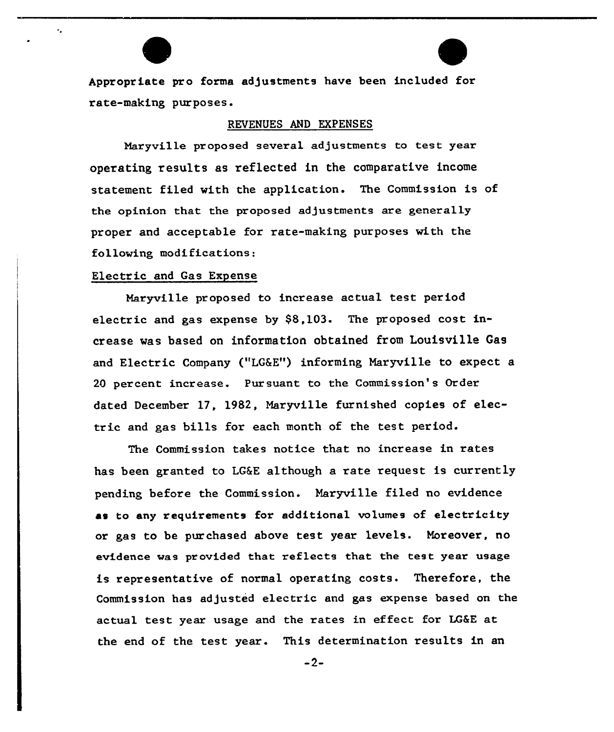Appropriate pro forms adjustments have been included for rate-making purposes.

## REVENUES AND EXPENSES

Nazyville proposed several adjustments to test year operating results as reflected in the comparative income statement filed with the application. The Commission is of the opinion that the proposed adjustments are generally proper and acceptable for rate-making purposes with the following modifications:

#### Electric and Gas Expense

 $\ddot{\phantom{a}}$ 

Maryville proposed to increase actual test period electric and gas expense by \$8,103. The proposed cost increase was based on information obtained from Louisville Gas and Electric Company ("LG&E") informing Maryville to expect a 20 percent increase. Pur suant to the Commission's Order dated December 17, 1982, Maryville furnished copies of electric and gas bills for each month of the test period.

The Commission takes notice that no increase in rates has been granted to LG6E although a rate request is currently pending before the Commission. Maryville filed no evidence as to any requirements for additional volumes of electricity or gas to be purchased above test year levels. Moreover, no evidence was provided that reflects that the test year usage is representative of normal operating costs. Therefore, the Commission has adjusted electric and gas expense based on the actual test year usage and the rates in effect for LG&E at the end of the test year. This determination results in an

-2-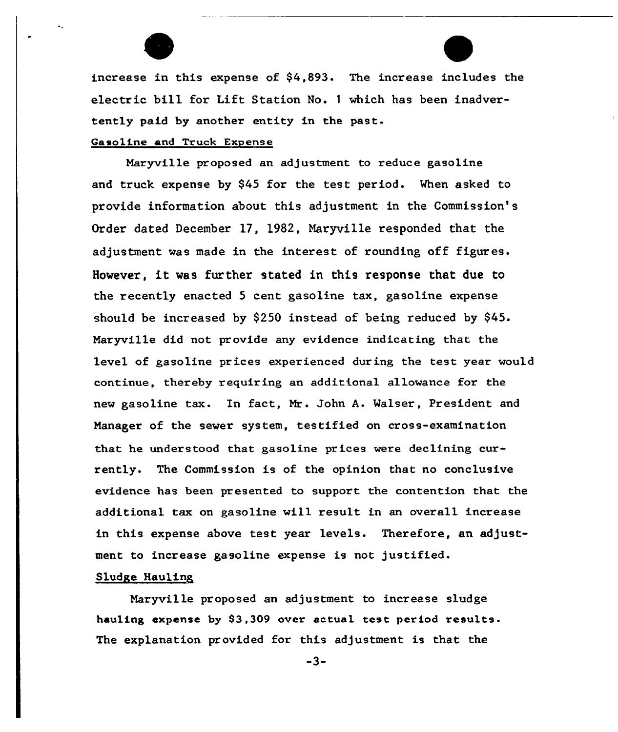

#### Gasoline and Truck Expense

Naryville proposed an adjustment to reduce gasoline and truck expense by 945 for the test period. When asked to provide information about this adjustment in the Commission's Order dated December 17, 1982, Maryville responded that the adjustment was made in the interest of rounding off figures. However, it was further stated in this response that due to the recently enacted 5 cent gasoline tax, gasoline expense should be increased by \$250 instead of being reduced by  $$45.$ Maryville did not provide any evidence indicating that the level of gasoline prices experienced during the test year would continue, thereby requir ing an additional allowance for the new gasoline tax. In fact, Mr. John A. Walser, President and Manager of the sewer system, testified on cross-examination that he understood that gasoline prices were declining currently. The Commission is of the opinion that no conclusive evidence has been presented to support the contention that the additional tax on gasoline will result in an overall increase in this expense above test year levels. Therefore, an adjustment to increase gasoline expense is not justified.

## Sludge Hauling,

Maryville proposed an adjustment to increase sludge hauling expense by 83,309 over actual test period results. The explanation provided for this adjustment is that the

-3-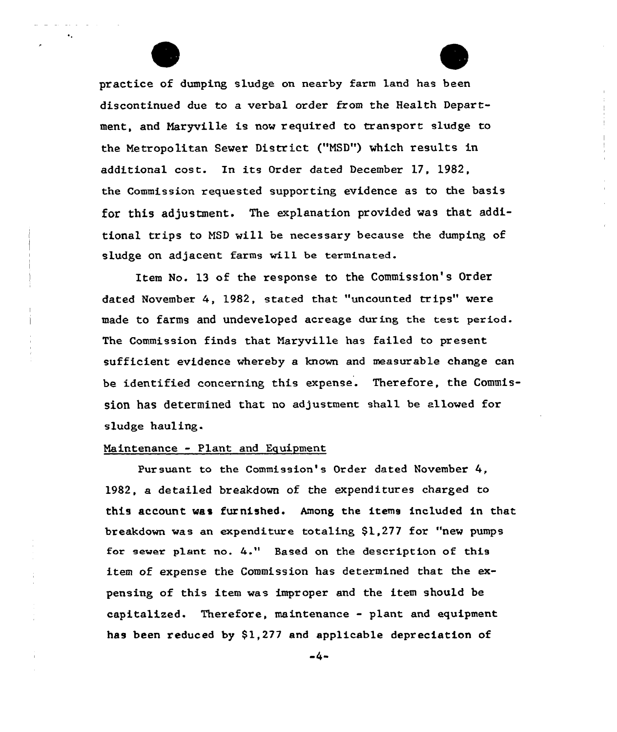practice of dumping sludge on nearby farm land has been discontinued due to a verbal order from the Health Department, and Naryville is now required to transport sludge to the Netropolitan Sewer District ("NSD") which results in additional cost. In its Order dated December 17, 1982, the Commission requested supporting evidence as to the basis for this adjustment. The explanation provided was that additional trips to NSD will be necessary because the dumping of sludge on adjacent farms will be terminated.

Item No. 13 of the response to the Commission's Order dated November 4, 1982, stated that "uncounted trips" were made to farms and undeveloped acreage during the test period. The Commission finds that Naryville has failed to present sufficient evidence whereby a known and measurable change can be identified concerning this expense. Therefore, the Commission has determined that no adjustment shall be allowed for sludge hauling.

## Maintenance - Plant and Equipment

Pursuant to the Commission's Order dated November 4, 19&2, a detailed breakdown of the expenditures charged to this account was furnished. Among the items included in that breakdown was an expenditure totaling \$1,277 for "new pumps for sewer plant no. 4." Based on the description of this item of expense the Commission has determined that the expensing of this item was improper and the item should be capitalized. Therefore, maintenance - plant and equipment has been reduced by  $$1,277$  and applicable depreciation of

 $-4-$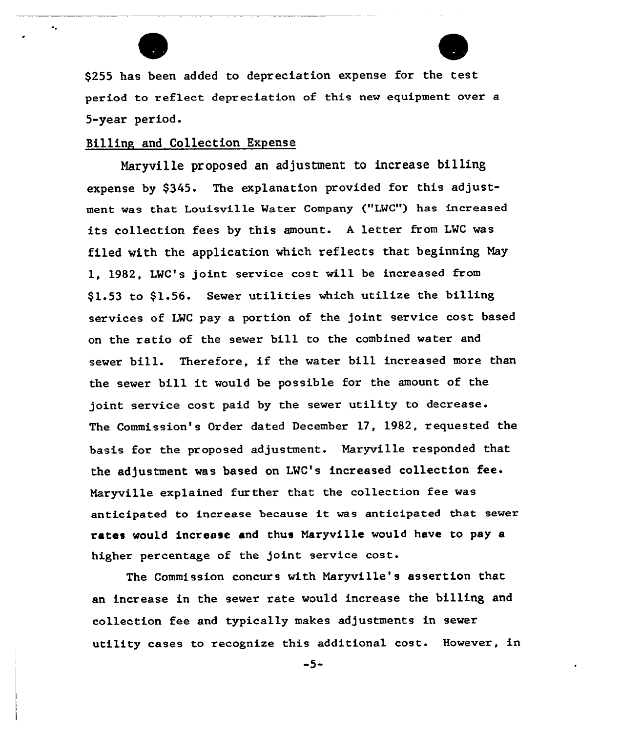

۰.



\$<sup>255</sup> has been added to depreciation expense for the test period to reflect depreciation of this new equipment over a 5-year period.

## Billing and Collection Expense

Naryville proposed an adjustment to increase billing expense by \$345. The explanation provided for this adjustment was that Louisville Mater Company {"LMC") has increased its collection fees by this amount. <sup>A</sup> letter from LWC was filed with the application which reflects that beginning May 1, 1982, LWC's joint service cost will be increased from \$1.53 to \$1.56. Sewer utilities which utilize the billing services of LWC pay a portion of the joint service cost based on the ratio of the sewer bill to the combined water and sewer bill. Therefore, if the water bill increased more than the sewer bill it would be possible for the amount of the joint service cost paid by the sewer utility to decrease. The Commission's Order dated December 17, 1982, requested the basis for the proposed adjustment. Naryville responded that the adjustment was based on LWC's increased collection fee. Naryville explained further that the collection fee was anticipated to increase because it was anticipated that sewer rates would increase and thus Naryville would have to pay a higher percentage of the joint service cost.

The Commission concurs with Naryville's assertion that an increase in the sewer rate would increase the billing and collection fee and typically makes adjustments in sewer utility cases to recognize this additional cost. However, in

 $-5-$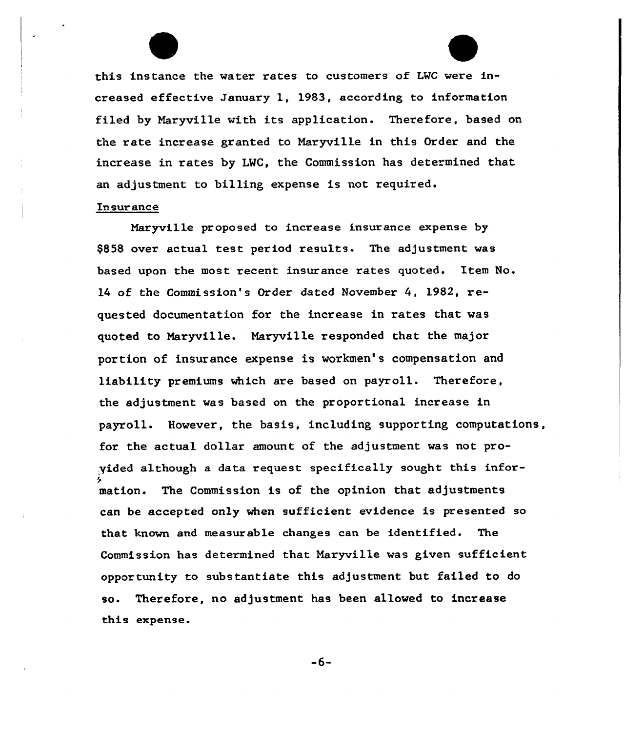this instance the water rates to customers of L'VC were increased effective January 1, 1983, according to information filed by Maryville with its application. Therefore, based on the rate increase granted to Naryville in this Order and the increase in rates by LWC, the Commission has detexmined that an adjustment to billing expense is not required.

## In sur ance

Mar yville proposed to increase insurance expense by \$858 over actual test period results. The adjustment was based upon the most recent insurance rates quoted. Item No. l4 of the Commission's Order dated November 4, 1982, xequested documentation for the increase in rates that was quoted to Maryville. Maryville responded that the major portion of insurance expense is workmen's compensation and liability premiums which are based on payroll. Therefore, the adjustment was based on the proportional increase in payroll. However, the basis, including supporting computations, fox the actual dollar amount of the adjustment was not proyided although a data request specifically sought this infor-I~ mation. The Commission is of the opinion that adjustments can be accepted only when sufficient evidence is presented so that known and measurable changes can be identified. The Commission has determined that Naryville was given sufficient oppor tunity to subs tantiate this adjustment but failed to do so. Therefore, no adjustment has been allowed to increase this expense.

-6-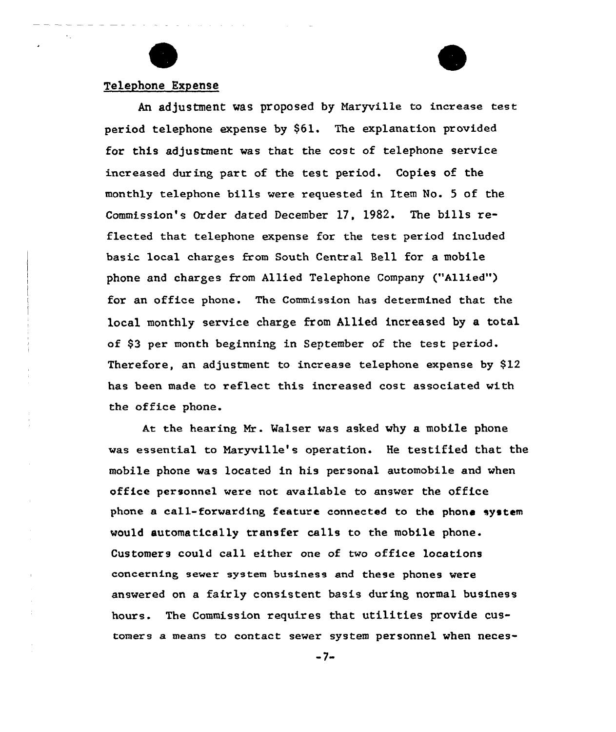

# Telephone Expense

An adjustment was proposed by Naryville to increase test period telephone expense by \$61. The explanation provided for this adjustment was that the cost of telephone service increased during part of the test period. Copies of the monthly telephone bills were requested in Item No. <sup>5</sup> of the Commission's Order dated December 17, 1982. The bills reflected that telephone expense for the test period included basic local charges from South Central Sell for a mobile phone and charges from Allied Telephone Company {"Allied") for an office phone. The Commission has determined that the local monthly service charge from Allied increased by a total of \$3 per month beginning in September of the test period. Therefore, an adjustment to increase telephone expense by \$12 has been made to reflect this increased cost associated with the office phone.

At the hearing Mr. Walser was asked why a mobile phone was essential to Naryville's operation. He testified that the mobile phone was located in his personal automobile and when office personnel were not available to answer the office phone a call-forwarding, feature connected to the phone system would automatically transfer calls to the mobile phone. Customers could call either one of two office locations concerning sewer system business and these phones were answered on a fairly consistent basis during, normal business hours. The Commission requires that utilities provide customers a means to contact sewer system personnel when neces-

 $-7-$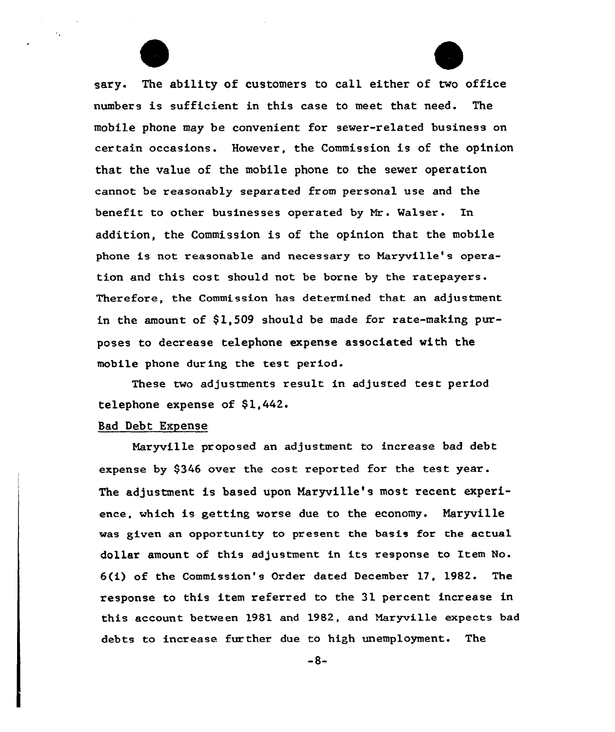

sary. The ability of customers to call either of two office numbers is sufficient in this case to meet that need. The mobile phone may be convenient for sewer-xelated business on certain occasions. However, the Commission is of the opinion that the value of the mobile phone to the sewer operation cannot be reasonably separated from personal use and the benefit to other businesses opexated by Nr. Walser. In addition, the Commission is of the opinion that the mobile phone is not reasonable and necessary to Naryville's operation and this cost should not be borne by the ratepayers. Therefore, the Commission has determined that an adjustment in the amount of \$1,509 should be made for rate-making purposes to decrease telephone expense associated with the mobile phone during the test period.

These two adjustments result in adjusted test period telephone expense of  $$1,442$ .

## Bad Debt Expense

Maryvf.lie pxoposed an adjustment to increase bad debt expense by 9346 over the cost reported for the test year. The adjustment is based upon Naryville's most recent experience, which is getting worse due to the economy. Naryville was given an opportunity to present the basis for the actual dollar amount of this adjustment in its response to Item No. 6(i) of the Commission's Order dated December 17, 1982. The response to this item referred to the 31 percent increase in this account between 1981 and 1982, and Maryville expects bad debts to increase furthex due to high unemployment. The

-8-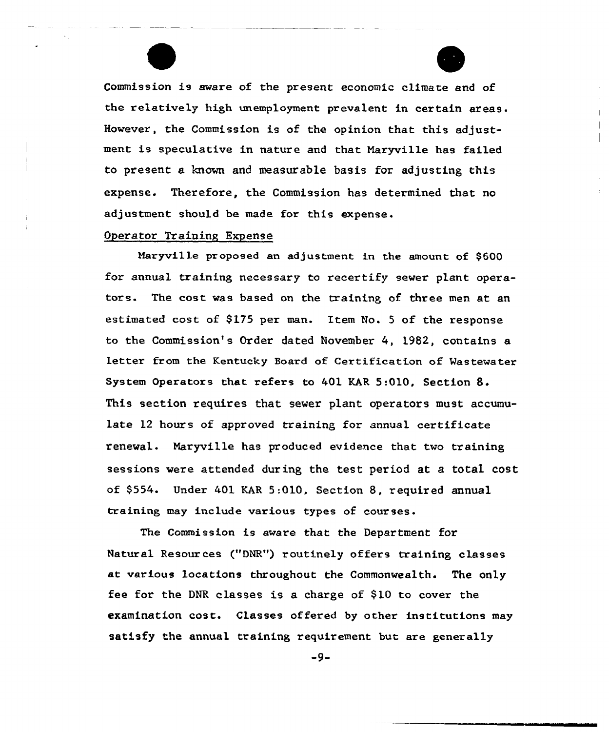Commission is aware of the present economic climate and of the relatively high unemployment prevalent in certain areas. However, the Commission is of the opinion that this adjustment is speculative in nature and that Maryville has failed to present a known and measurable basis for adjusting this expense. Therefore, the Commission has determined that no adjustment should be made for this expense.

# Operator Training Expense

Naryville proposed an adjustment in the amount of \$600 for annual training necessary to recertify sewer plant operators. The cost was based on the training of three men at an estimated cost of \$175 per man. Item No. 5 of the response to the Commission's Order dated November 4, 1982, contains a letter from the Kentucky Board of Certification of Wastewater System Operators that refers to 401 KAR 5:010, Section 8. This section requires that sewer plant operators must accumulate 12 hours of approved training for annual certificate renewal. Maryville has produced evidence that two training sessions were attended during the test period at a total cost of \$554. Under 401 KAR 5:010, Section 8, required annual training may include various types of

The Commission is aware that the Department for Natural Resour ces ("DNR") routinely offers training classes at various locations throughout the Commonwealth. The only fee for the DNR classes is a charge of \$10 to cover the examination cost. Classes offered by other institutions may satisfy the annual training requirement but are generally

-9-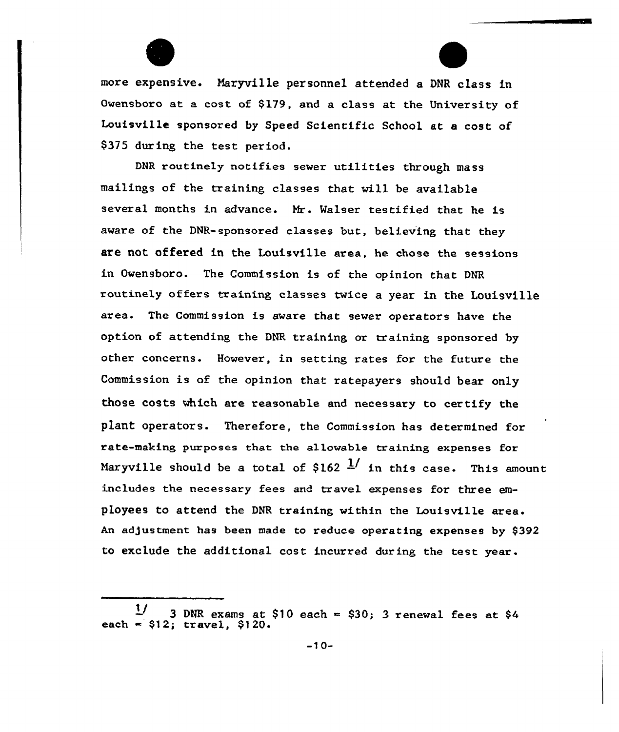

more expensive. Ãaryville personnel attended a DNR class in Owensboro at a cost of \$179, and a class at the University of Louisville sponsored by Speed Scientific School at a cost of \$37S during the test period.

DNR routinely notifies sewer utilities through mass mailings of the training classes that will be available several months in advance. Mr. Walser testified that he is aware of the DNR-sponsored classes but, believing that they are not offered in the Louisville area, he chose the sessions in Owensboro. The Commission is of the opinion that DNR routinely offers training classes twice a year in the Louisville area. The Commission is aware that sewer operators have the option of attending the DNR training or training sponsored by other concerns. However, in setting rates for the future the Commission is of the opinion that ratepayers should bear only those costs which are reasonable and necessary to certify the plant operators. Therefore, the Commission has determined for rate-making purposes that the allawable training expenses for Maryville should be a total of \$162  $\frac{1}{2}$  in this case. This amount includes the necessary fees and travel expenses for three employees to attend the DNR training within the Louisville area. An adjustment has been made to reduce operating expenses by \$392 to exclude the additional cost incurred during the test year.

<sup>3</sup> DNR exams at  $$10$  each =  $$30; 3$  renewal fees at  $$4$ 11 each  $= $12$ ; travel,  $$120$ .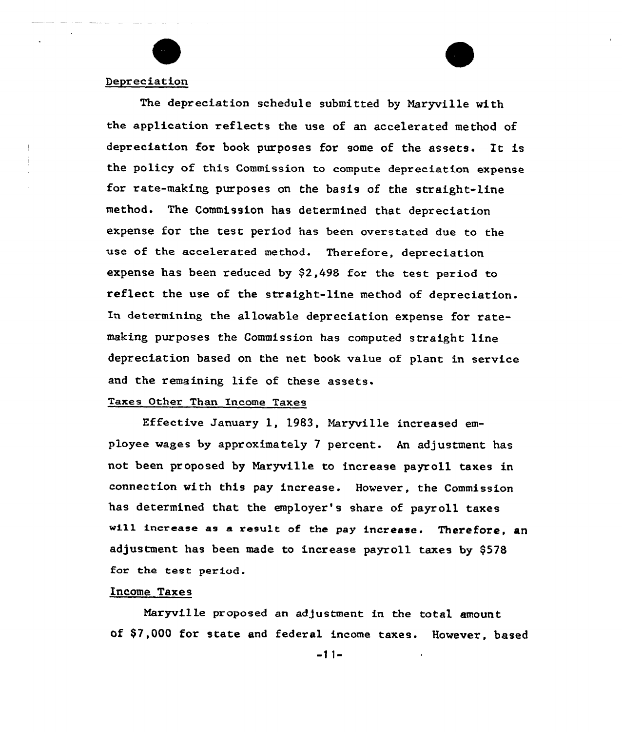

## Depreciation

The depreciation schedule submitted by Naryville with the application reflects the use of an accelerated method of depreciation for book purposes for some of the assets. It is the policy of this Commission to compute depreciation expense for rate-making purposes on the basis of the straight-line method. The Commission has determined that depreciation expense for the test period has been overstated due to the use of the accelerated method. Therefore, depreciation expense has been reduced by \$2,498 for the test period to reflect the use of the straight-line method of depreciation. In determining the allowable depreciation expense for ratemaking purposes the Commission has computed straight line depreciation based on the net book value of plant in service and the remaining life of these assets.

# Taxes Other Than Income Taxes

Effective January 1, 1983, Naryville increased employee wages by approximately 7 percent. An adjustment has not been proposed by Maryville to increase payroll taxes in connection with this pay increase. However, the Commission has determined that the employer's share of payroll taxes will increase as a result of the pay increase. Therefore, an adjustment has been made to increase payroll taxes by \$578 for the test period.

#### Income Taxes

Naryville pxoposed an adjustment in the total amount of \$7,000 for state and federal income taxes. However, based

 $-11-$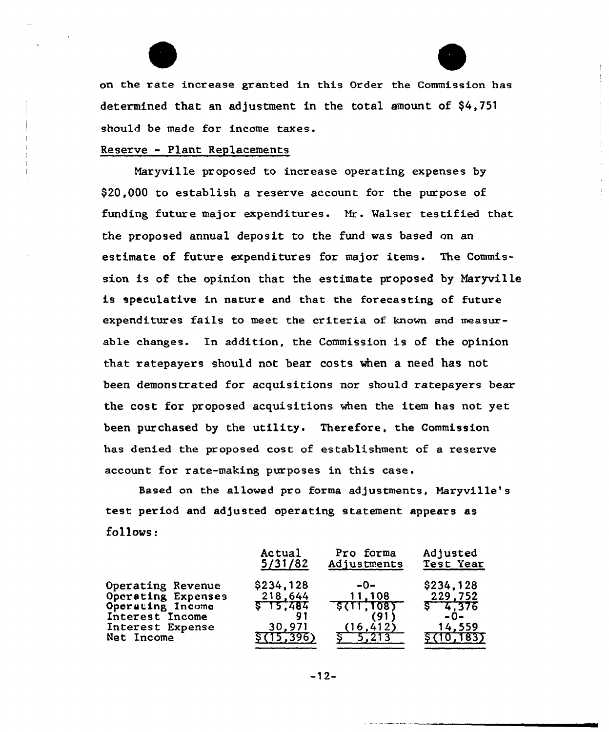on the rate increase granted in this Order the Commission has determined that an adjustment in the total amount of \$4,751 should be made for income taxes.

F

# Reserve - Plant Replacements

Naryville proposed to increase operating expenses by \$20,000 to establish a reserve account for the purpose of funding future major expenditures. Nr. Walser testified that the proposed annual deposit to the fund was based on an estimate of future expenditures for major items. The Commission is of the opinion that the estimate proposed by Maryville is speculative in nature and that the forecasting of future expenditures fails to meet the criteria of known and measurable changes. In addition, the Commission is of the opinion that ratepayers should not bear costs when a need has not been demonstrated for acquisitions nor should ratepayers bear the cost for proposed acquisitions when the item has not yet been purchased by the utility. Therefore, the Commission has denied the proposed cost of establishment of a reserve account for rate-making purposes in this case.

Based on the allowed pro forma adjustments, Maryville's test period and adjusted operating statement appears as follows:

|                                                                                                                  | Actual                                                       | Pro forma                                         | Adjusted                                                              |
|------------------------------------------------------------------------------------------------------------------|--------------------------------------------------------------|---------------------------------------------------|-----------------------------------------------------------------------|
|                                                                                                                  | 5/31/82                                                      | Adjustments                                       | Test Year                                                             |
| Operating Revenue<br>Operating Expenses<br>Operating Income<br>Interest Income<br>Interest Expense<br>Net Income | \$234,128<br>218,644<br>\$15,484<br>91<br>30,971<br>(15.396) | $-0-$<br>11,108<br>5(11, 108)<br>(91<br>(16, 412) | \$234,128<br>229,752<br>$5 - 4,376$<br>$-0-$<br>14,559<br>\$ (10,183) |

 $-12-$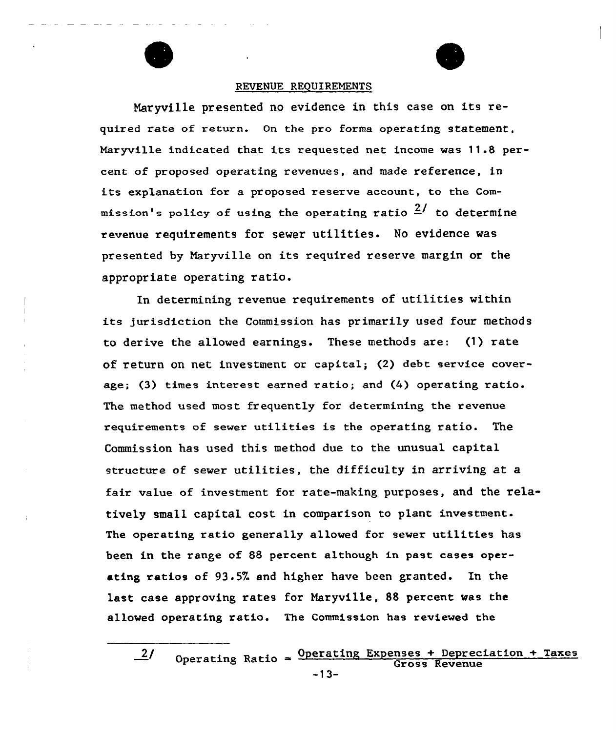

#### REVENUE REQUIREMENTS

Naryville presented no evidence in this case on its required rate of return. On the pro forma operating statement. Maryville indicated that its requested net income was 11.8 percent of proposed operating revenues, and made reference, in its explanation for a proposed reserve account, to the Commission's policy of using the operating ratio  $\frac{2}{3}$  to determine revenue requirements for sewer utilities. No evidence was presented by Naryville on its required reserve margin or the appropriate operating ratio.

In determining revenue requirements of utilities within its jurisdiction the Commission has primarily used four methods to derive the allowed earnings. These methods are: (1) rate of return on net investment or capital; (2) debt service coverage; (3) times interest earned ratio; and (4) operating ratio. The method used most frequently for determining the revenue requirements of sewer utilities is the operating ratio. The Commission has used this method due to the unusual capital structure of sewer utilities, the difficulty in arriving at a fair value of investment for rate-making purposes, and the relatively small capital cost in comparison to plant investment. The operating ratio genera11y allowed for sewer utilities has been in the range of 88 percent although in past cases operating ratios of 93.5% and higher have been granted. In the last case approving rates for Naryville, 88 percent was the allowed operating ratio. The Commission has reviewed the

 $\frac{2}{\text{Operating}}$  Ratio =  $\frac{\text{Operating Expenses + Depreciation + Taxes}}{\text{Gross Revenue}}$ Gross Revenue -13-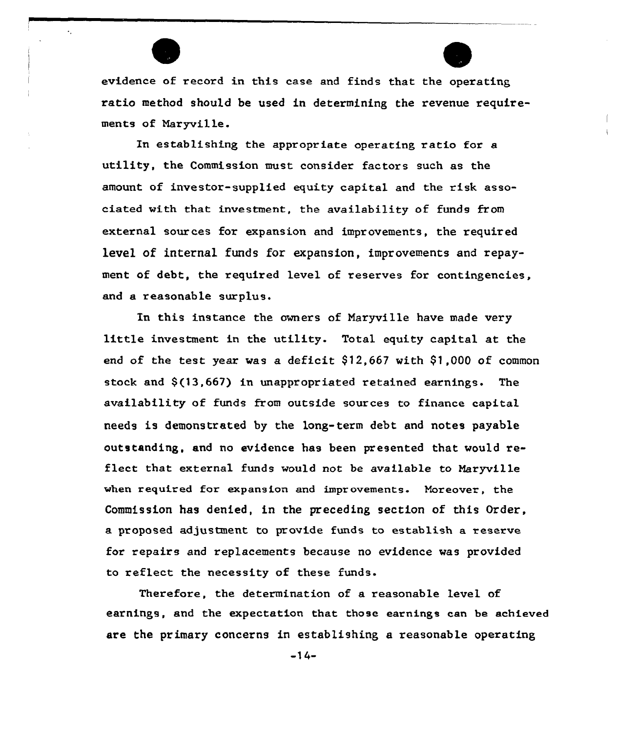

evidence of record in this case and finds that the operating ratio method should be used in determining the revenue requirements of Naryville.

Xn establishing the appropriate operating ratio for a utility, the Commission must consider factors such as the amount of investor-supplied equity capital and the risk associated with that investment, the availability of funds from externa1 sources for expansion and improvements, the required level of internal funds for expansion, improvements and repayment of debt, the required level of reserves for contingencies. and a reasonable surplus.

In this instance the owners of Naryville have made vexy little investment in the utility. Total equity capital at the end of the test year was a deficit  $$12,667$  with  $$1,000$  of common stock and  $$(13,667)$  in unappropriated retained earnings. The availability of funds from outside sources to finance capital needs is demonstxated by the long-term debt and notes payable outstanding, and no evidence has been presented that would reflect that external funds would not be available to Maryville when required for expansion and improvements. Moreover, the Commission has denied, in the preceding section of this Order, a proposed adjustment to provide funds to establish a reserve for repairs and replacements because no evidence was provided to reflect the necessity of these funds.

Therefore, the determination of a reasonable level of earnings, and the expectation that those earnings can be achieved are the primary concerns in estabLishing a reasonable operating

 $-14-$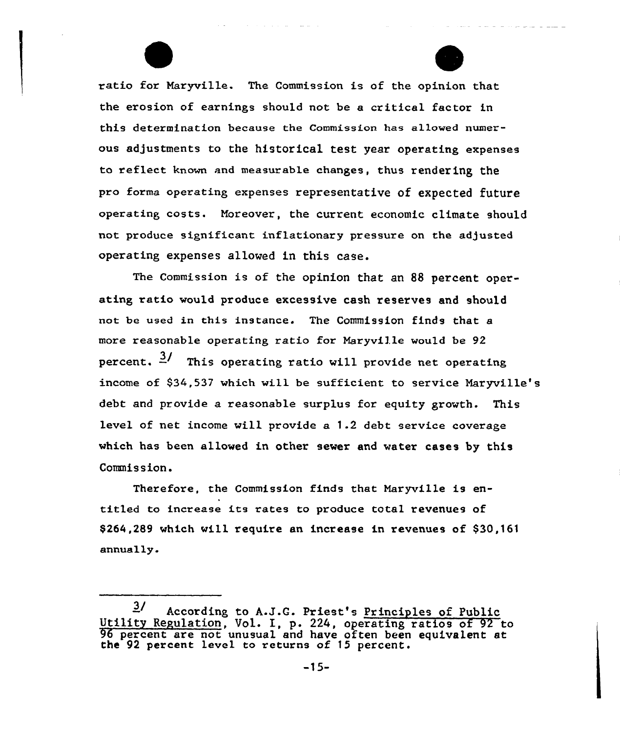

ratio for Naryville. The Commission is of the opinion that the erosion of earnings should not be a critical factor in this detexmination because the Commission has allowed numexous adjustments to the historical test year operating expenses to reflect known and measurable changes, thus rendering the pro forma operating expenses representative of expected future operating costs. Moreover, the current economic climate should not produce significant inflationaxy pressuxe on the adjusted operating expenses allowed in this case.

and a strong companies and

The Commission is of the opinion that an 88 percent operating ratio would produce excessive cash reserves and should not be used in this instance. The Commission finds that a more reasonable operating ratio for Naryville would be 92 percent.  $\frac{3}{2}$  This operating ratio will provide net operating income of 934,537 which will be sufficient to service Naryville's debt and provide a reasonable surplus for equity growth. This level of net income will provide a 1.2 debt service coverage which has been allowed in other sewer and water cases by this Commission.

Therefore, the Commission finds that Naryville is entitled to increase its rates to produce total revenues of \$264,289 which will require an increase in revenues of \$30,161 annually.

 $3/$  According to A.J.G. Priest's Principles of Public Utility Regulation, Vol. I, p. 224, operating ratios of 92 to 96 percent are not unusual and have often been equivalent at the 92 percent level to returns of 15 percent.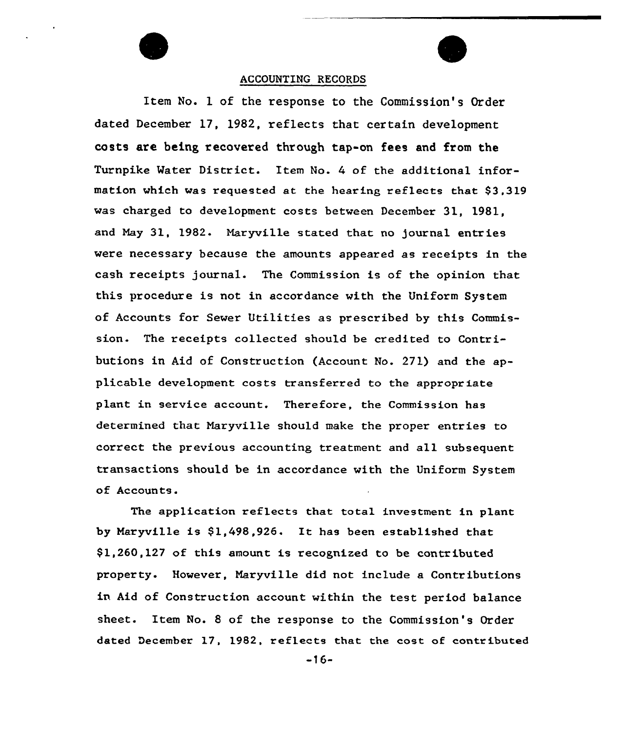# ACCOUNTING RECORDS

Item No. 1 of the response to the Commission's Order dated December 17, 1982, reflects that certain development costs are being recovered through tap-on fees and from the Turnpike Water District. Item No. 4 of the additional information which was requested at the hearing reflects that \$3,319 was charged to development costs between December 31, 1981, and Nay 31, 1982- Naryville stated that no journal entries were necessary because the amounts appeared as xeceipts in the cash xeceipts journal. The Commission is of the opinion that this procedure is not in accordance with the Uniform System of Accounts fox Sewer Utilities as prescribed by this Commission. The receipts collected should be credited to Contributions in Aid of Constxuction (Account No. 271) and the applicable development costs transferxed to the appropriate plant in service account. Therefore, the Commission has determined that Maryville should make the proper entries to correct the previous accounting treatment and all subsequent transactions should be in accordance with the Uniform System of Accounts.

The application reflects that total investment in plant by Maryville is \$1,498,926. It has been established that \$1,260,127 of this amount is recognized to be contributed property. However, Maryville did not include a Contributions in Aid of Construction account within the test period balance sheet. Item No. <sup>8</sup> of the response to the Commission 's Order dated December 17, 1982, reflects that the cost af contributed

-l6-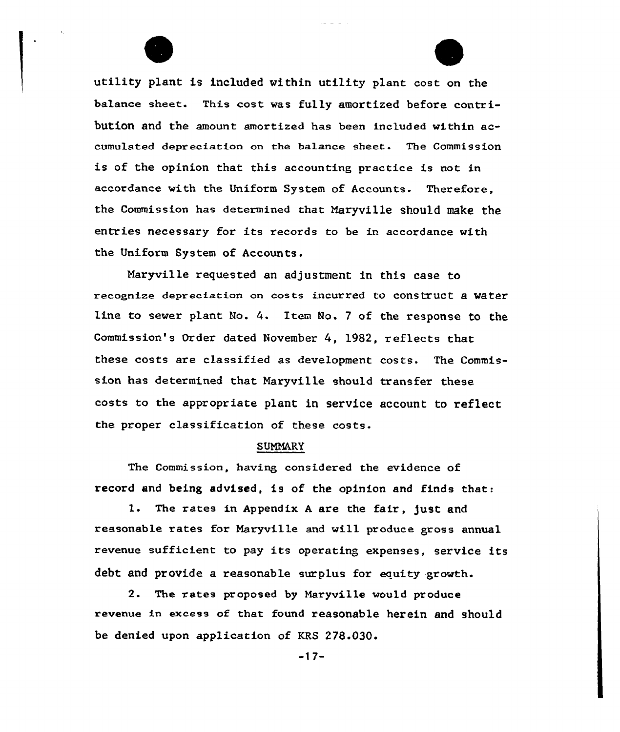

utility plant is included within utility plant cost on the balance sheet. This cost was fully amortized before contribution and the amount amortized has been included within accumulated depreciation on the balance sheet. The Commission is of the opinion that this accounting practice is not in accordance with the Uniform System of Accounts. Therefore, the Commission has determined that Naryville should make the entries necessary for its records to be in accordance with the Uniform System of Accounts.

Naryville requested an adjustment in this case to recognize depreciation on costs incurred to construct a water line to sever plant No. 4. Item No. <sup>7</sup> of the response to the Commission's Order dated November 4, 1982, reflects that these costs are classified as development costs. The Commission has determined that Naryville should transfer these costs to the appropriate plant in service account to reflect the proper classification of these costs.

## SUMMARY

The Commission, having considered the evidence of record and being advised, is of the opinion and finds that:

1. The rates in Appendix <sup>A</sup> are the fair, just and reasonable rates fax Naryville and vill produce gross annual revenue sufficient to pay its operating expenses, service its debt and provide a reasonable surplus for equity growth.

2. The rates proposed by Maryville would produce revenue in excess of that found reasonable herein and should be denied upon application of KRS 278.030.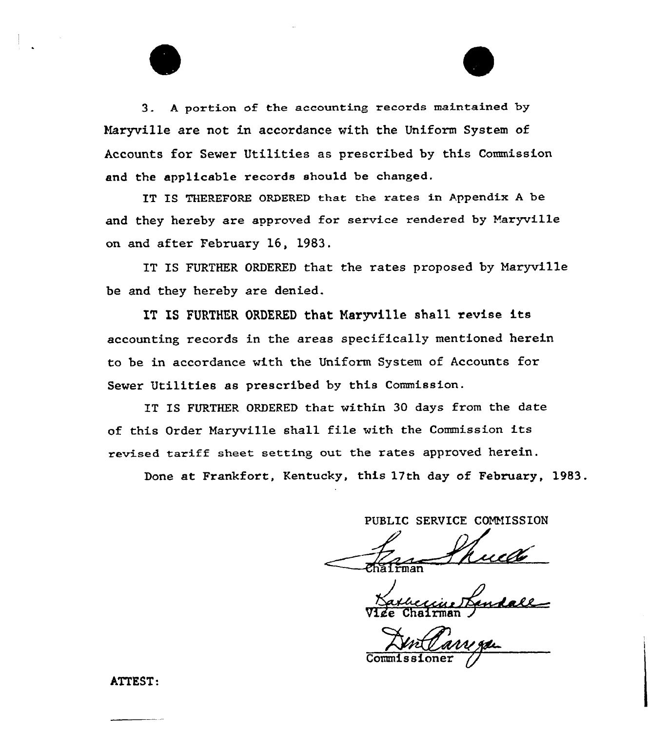3. A portion of the accounting records maintained by Maryville are not in accordance with the Uniform System of Accounts for Sewer Utilities as prescribed by this Commission and the applicable records should be changed.

IT IS THEREFORE ORDERED that the rates in Appendix <sup>A</sup> be and they hereby are approved for service rendered by Naryville on and after February 16, 1983.

IT IS FURTHER ORDERED that the rates proposed by Maryville be and they hereby are denied.

IT IS FURTHER ORDERED that Naryville shall revise its accounting records in the areas specifically mentioned herein to be in accordance vith the Uniform System of Accounts for Sewer Utilities as prescribed by this Commission.

IT IS FURTHER ORDERED that within 30 days from the date of this Order Naryville shall file with the Commission its revised tariff sheet setting out the rates appxoved herein.

Done at Frankfort, Kentucky, this 17th day of February, 1983.

PUBLIC SERVICE COMMISSION

Vize Chairman )

**Commissione** 

ATTEST: